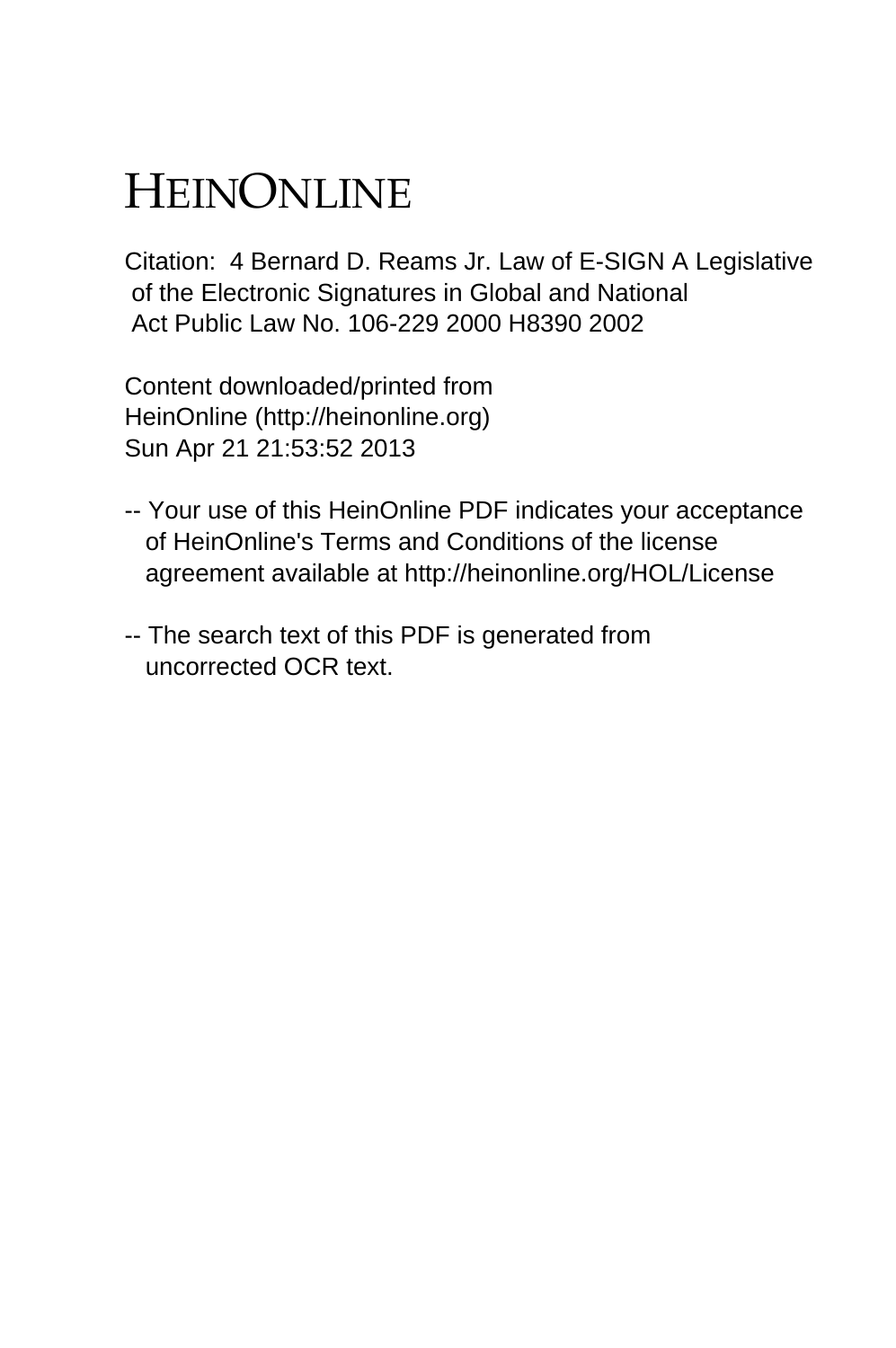# HEINONLINE

Citation: 4 Bernard D. Reams Jr. Law of E-SIGN A Legislative of the Electronic Signatures in Global and National Act Public Law No. 106-229 2000 H8390 2002

Content downloaded/printed from HeinOnline (http://heinonline.org) Sun Apr 21 21:53:52 2013

- -- Your use of this HeinOnline PDF indicates your acceptance of HeinOnline's Terms and Conditions of the license agreement available at http://heinonline.org/HOL/License
- -- The search text of this PDF is generated from uncorrected OCR text.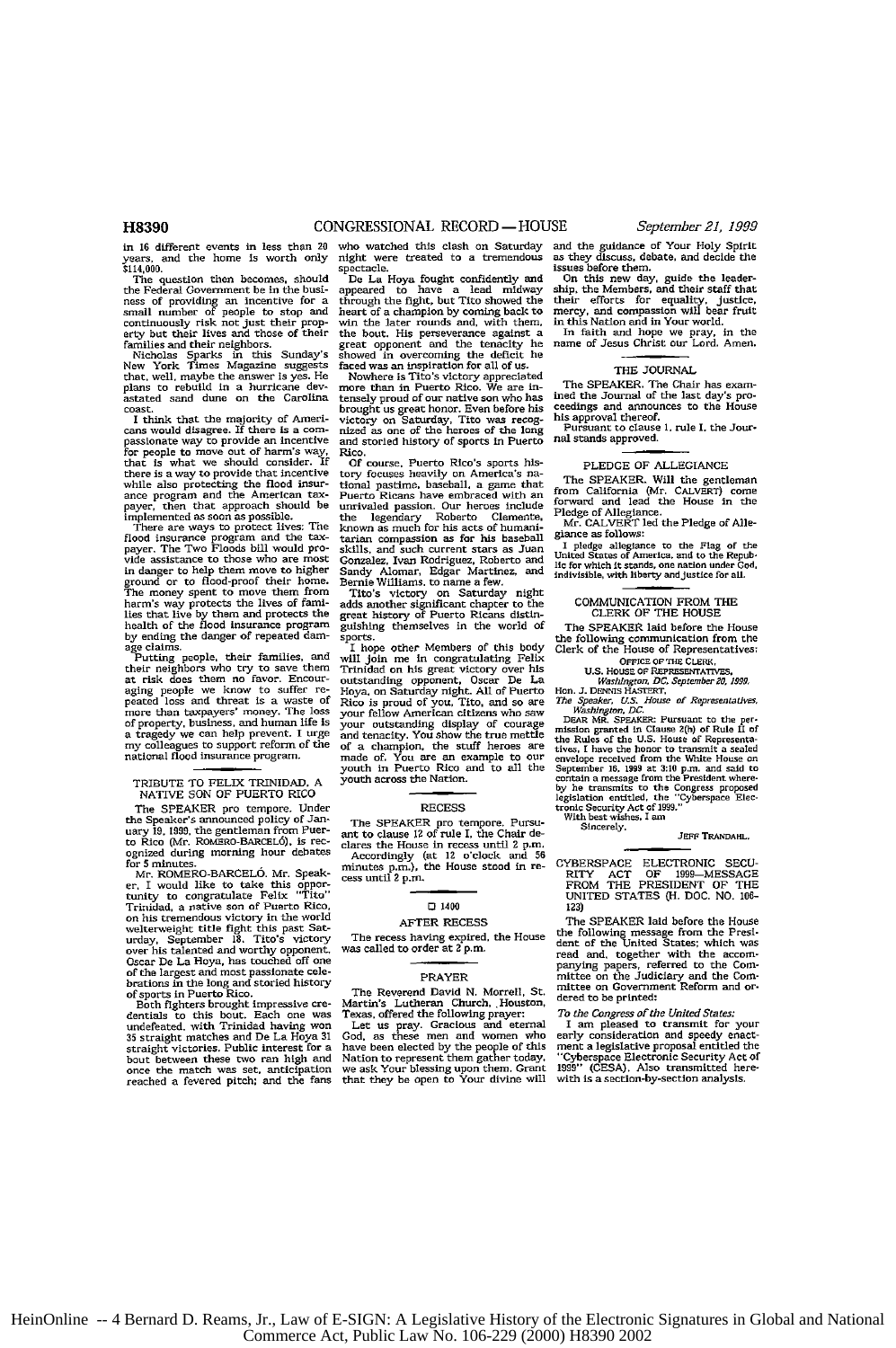Studion issues before them.<br>
The question then becomes, should De La Hoya fought confidently and On this new day, guide the leader-<br>
The question then becomes, should De La Hoya fought confidently and On this new day, guid

New York Times Magazine suggests faced **was an** inspiration for all **of us.THE JOURNAL** that, well, maybe the answer is yes. He Nowhere is Tito's victory appreciated plans to rebuild in a hurricane **dev-** more than in Puerto Rico. We **are** in- The SPEAKER. The Chair has **eam-**

for people to move out of harm's way. Rico.<br>that is what we should consider. If Of course, Puerto Rico's sports his- PLEDGE OF ALLEGIANCE there is a way to provide that incentive tory focuses heavily on America's na-<br>while also protecting the flood insur-<br>tional pastime, baseball, a game that find parties are specifically in a specific and the sentiemar<br>ance

Frida assistance to those who are most conzalez. Ivan Rodriguez. Roberto and linited States of America, and to the Republic of the standard of the stands, one nation under God.<br>In danger to help them move to higher Sandy A The money spent to move them from Tito's victory on Saturday night harm's way protects the lives of fami- adds another significant chapter to the COMMUNICATION FROM THE lies that live by them **and** protects the great history of Puerto Ricans distin- CLERK OF THE **HOUSE** health of the flood insurance program guishing themselves in the world **of** The SPEAKER laid before the House

the Highland Home and The Termin and the speed vactory of the La Mashington, DC, September 20, 1999.<br>The paper people we know to suffer re- Hoya, on Staturday night, All of Puetto Hon. J. Dennis HASTERT, September 20, 1999 a tragedy we can help prevent. I urge and tenacity. You show the true mettle the Pulse of the **U.S.** Bulges of Represent-

The SPEAKER pro tempore, Under **RECESS** the Speaker's announced policy of Jan-<br>
The SPEAKER pro tempore. Pursu-<br>
Universely.<br>
The SPEAKER pro tempore. Pursu-<br>
Sincerely.<br>
Sincerely.<br>
The SPEAKER pro tempore. Pursu-<br>
Sincerely.<br>
Sincerely. the Speaker's amounced policy of January 19, 1999, the gentleman from Puerto Rico (Mr. ROMERO-BARCEL6), is rec-<br>ognized during morning hour debates

er, I would like to take this oppor-<br>tunity to congratulate Felix "Tito" THE PRESIDENT OF THE UNITED STATES (H. DOC. NO. 106<br>tunity to congratulate Felix "Tito" THE PRESIDENT OF THE ognized ouring norm denaities Accordingly (at 12 o'clock and 5<sup>6</sup> CYBERSPACE ELECTRONIC SECUMIC for 5 minutes.<br>
Mr. ROMERO-BARCELÓ. Mr. Speak-cess until 2 p.m.<br>
en: Nor Nor Occapatulate Felix "Tito" (ACT OF THE<br>
en: I woul The SPEAKER laid before the House<br>on his tremendous victory in the world<br>weller weight this past Saturday. The SPEAKER laid before the House<br>under Spectrum is Tito's victory. The recess having expired, the House<br>under Spec over his talented and worthy opponent, was called to order at 2 p.m. dent of the United States; which was called to order at 2 p.m. dent of the United States; which was called to order at 2 p.m. each and, together with the brations in the long and storied history PRAYER mittee on the Judiciary **and** the or-

Both fighters brought impressive are- Martin's Lutheran Church, **.**Houston. deredto be printed: dentials to this bout. Each one was Texas, offered the following prayer: *To the Congren* ofthe *United* States: ended and with Trinidad having won Let us pray. Gracious and eternal I am pleased to transmit for your<br>straight matches and De La Hoya 31 God, as these men and women who early constrained nad peedy enact:<br>straight victorie

in 16 different events in less than 20 who watched this clash on Saturday years, and the home is worth only night were treated to a tremendous

IT,000. The quality, the federal Government be in the busi- appeared to have a lead midway ship, the Members, and their Federal Government be in the busi- appeared to have a lead midway ship, the Members, and their staff t the second providing an incentive for a through the fight, but Tito showed the their efforts for equality, justice small number of people to stop and heart of a champion by coming back to mercy, and comparison will bear fr families **and** their neighbors. great opponent and the tenacity he name of Jesus Christ our Lord. Amen. Figure Sunday's showed in overcoming the tenacity he showed in overcoming the deficit he faced was an inspiration for all of us.

plane of the Carolina tensely proud of our native son who has ined the Journal of the last day's pro-<br>assisted sand dune on the Carolina tensely proud of our native son who has ineddings and announces to the House<br>I think

there is a way to provide that incentive tory focuses heavily on America's native SENAER. Will the gentleman while also protecting the flood insur-tomal pastione, baseball, a game that from California (Mr. CALVERT) come pa payer, then that spin-axis show we universal resistant. Our income interest and a soon as possible.<br>There are ways to protect lives: The known as much for his acts of humani-<br>There are ways to protect lives: The known as m

explained and the content of this body. The content of this body clerk of the House of Representatives<br>The other handlies, and will join me in congratulating Felix of the House of Representatives<br>their neighbors who try to a cusport reform of the of a channology. You show the State methods the Rules of the U.S. House of Representa-<br>In colleagues to support reform of the of a champion, the stuff heroes are tives, I have the honor to transmit

ognized during morning hour debates and results of contacts until 2 p.m.<br>Tors Sminutes.<br>McCordingly (at 12 o'clock and 56<br>Mr. ROMERO-BARCELÓ. Mr. Speak-<br>Mr. ROMERO-BARCELÓ. Mr. Speak-<br>Sexes until 2 p.m.

The Reverend David N. Morrell, St. mittee on Governm<br>Martin's Lutheran Church, Houston, dered to be printed:

in 16 different events in less than 20 who watched this clash on Saturday and the guidance of Your Holy Spirit<br>years, and the home is worth only night were treated to a tremendous as they discuss, debate, and decide the<br>\$1

health of the flood insurance program guishing themselves in the world of The SPEAKER laid before the House<br>by ending the danger of repeated dam- sports. the entre Members of this body the following communication from the<br>

youth in Puerto Rico and to all the September 16, 1999 at 3010 pm and sail the September 16, 1999 at 3010 pm<br>TRIBUTE TO FELIX TRINIDAD, A youth across the Nation.<br>NATIVE SON OF PUERTO RICO

is the CocksStepton and the Schement property and properties the polytope dentity of the Com-<br>dentity and the Com-<br>read and, together with the accom-<br>paramying papers, referred to the Com-<br>paramying papers, referred to the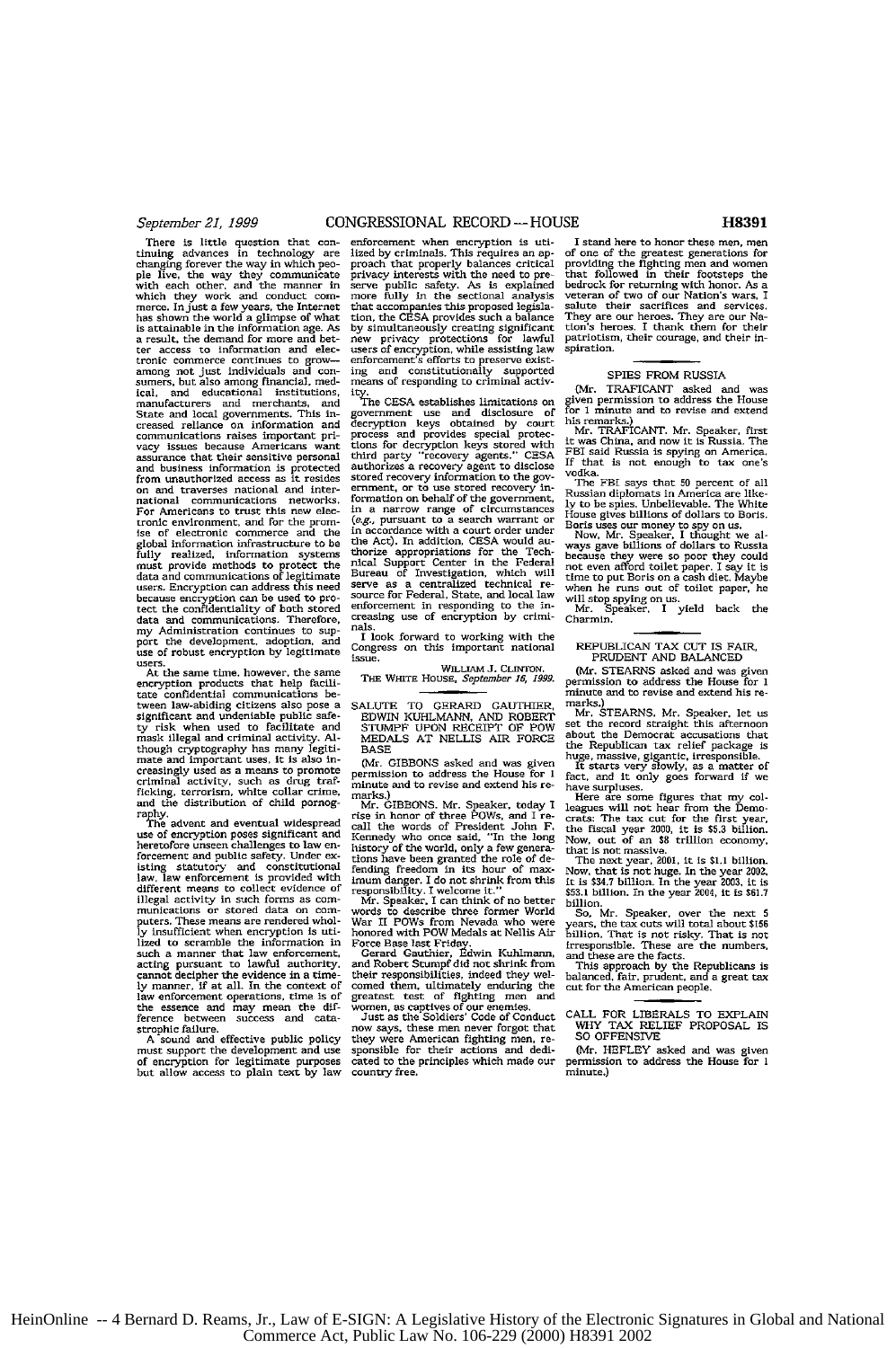somers. but also among financial, med- means of responding to criminal activ-<br>among not just individuals and con- ing and constitutionally supported<br>teal, and educational institutions, ity.<br>fast, and educational institutio infamination and increased relationships and the system and disclosure of for 1 minute and to revise and extend<br>State and local governments. This in-government uses and disclosure of for 1 minute and to revise and extend<br>c Vary Issues to clear the transit was one controlled by the experiment that is not enough to transmit consider a new electronic is protected authorizes a recovery gent to discoluse if the is not enough to tax one's one from particular commutations networks. Tormation onear or the government, by to be spies. Unbelievable. The White<br>tronic environment, and for the prom- ( $\theta_{\rm g}$ , pursuant to a search warrant or House gives billions of dollars Fully realized, information systems thorize appropriations for the Tech-<br>must provide methods to protect the nical Support Center in the Federal not even afford toilet paper. I say it<br>must provide methods to protect the ni data and communications of legitimate Bureau of Investigation, which will such a but Boris on a cash diet. Maybe<br>users. Encryption can address this need serve as a centralized technical re- when he runs out of toilet paper etect the confidentiality of both stored enforcement in responding to the in-<br>data and communications. Therefore, creasing use of encryption by crimi- Charmin. and communication continues to sup-<br>my Administration continues to sup-<br>port the development, adoption, and I look forward to orking with the<br>suse of robust encryption by legitimate<br>users.<br>www.communicational REPUBLICAN TA

tus . WILLIAM J. CLINTON.<br>At the same time, however, the same THE WHITE HOUSE, September 16, 1999<br>tate confidential communications be-<br>tween law-abiding citizens also pose a SALUTE TO GERARD GAUTHIER tween law-abiding citizens also pose a SALUTE TO GERARD **GAUTHIER,** marks.) significant **and** undeniable public safe- EDWIN **KUHLMANN,** AND ROBERT Mr. STEARNS. Mr. Speaker, let us tate communities continuous communities and STUMPF UPON CAULT CONTRIER, marks.)<br>significant and undentable public safe-<br>significant and undentable public safe-<br>power the record straight this afternoon<br>mask illegal and crim ry iss, when used to recurred and criminal activity. Al-<br>
imask illegal and criminal activity. Al-<br>
though cryptography has many legiti-<br>
BASE the Republican tax relief package is though crytocography has many legiti-<br>
in ASE Theorem and the Republican tax relief package is<br>
mate and important uses, it is also in-<br>
mate and important uses, it is also in-<br>
mate and the permission to address the Hous

and the distribution of **thd** pornog- Mr. GIBBONS. Mr. Speaker, today I leagues will not hear from the Demo-raphy. rise in honor **of** three POWs. and I to- orats: The *tax* cut for the first year, The advent and eventual widespread call the words of President John F. the fiscal year 2000, it is \$5.3 billion. use of encryption poses significant and Kennedy who once said, "In the long Now, out of an **\$8** trillion economy, heretofore unseen challenges to **law en-** history of the world, only a few genei- that is not massive. forcement and public safety. Under *ex-* tions have been granted the role of de- The next year, 2001. it Is **\$1.1** billion. isting statutory and constitutional fending freedom in its hour of max- Now, that is not huge. In the year *2002,* law. law enforcement is provided with imum danger. I do not shrink from this it is \$34.7 billion. In the year **2003,** it is different means to collect evidence **of** responsibility. I welcome it." **\$53.1** billion. In the year 2004, it **is \$61.7** illegal activity in such **forms** as **com-** Mr. Speaker. I can think of no better billion. munications or stored data **on** cOm- words to describe three former World So, Mr. Speaker, over the next **5** puters. These means are rendered whol- War II POWs from Nevada who were years, the tax cuts will total about **\$156** ly insufficient when encryption is uti- honored with POW Medals at Nellis Air billion. That is not risky. That is not lized to scramble the information in Force Base last Fridas irresponsible. These are the numbers. such a manner that **law** enforcement. Gerard Gauthier, tdwin Kuhslmnn **and** these are the facts. acting pursuant to lawful authority. and Robert Stumpf did not shrink from This approach **by** the Republicans is cannot decipher the evidence in a time- their responsibilities, indeed they wel- balanced, fair, prudent, and a great tax ly manner, if at all In the context of corned them, ultimately enduring the cut for the American people. Ty indicate the same is of greatest test of fighting men and<br>the essence and may mean the diff-women, as captives of our enemies.<br>The essence and may mean the diff-women, as captives of our enemies.<br>Ference between success strophic that when the context of connel them, ultimately enduring the cut for the American people.<br>It has enforced that We can be different operations, then is of greatest test of fighting men and<br>the essence and may mean

*September 21, 1999* **CONGRESSIONAL RECORD** -- HOUSE **H8391**<br>There is little question that con-enforcement when encryption is uti-<br>intimal achieves in technology are lized by criminals. This requires an ap-of one of the gr There is little question that con-enforcement when encryption is uti-<br>is a little function these men, methodogy are lized by criminals. This requires an ap-of one of the greatest generations for<br>changing forever the way in with each other, and the manner in serve public safety. As is explained bedrock for returning with honor. As a which they work and conduct com- more fully in the sectional analysis veteran of two of our Nation's wars, merc a result, the demand for more and bet-new privacy protections for lawful patriotism, their courage, and their inter access to information and elec- users of encryption, while assisting law spiration.<br>
tronic commerce conti

ity.<br>The CESA establishes limitations on given permission of

A sound a sound a sound and they were American fighting men, re-<br>sponsible for their actions and dedi-<br>(Mr. HEPLEY asked and was given<br>cated to the principles which made our permission to address the House for 1 must support the development and use sponsible for their actions and dedi-<br>must support the development and use sponsible for their actions and dedi-<br>of encryption for legitimate purposes cated to the principles which made

To be spites. One temperature, the mineral Boris.<br>Boris Boris Boris, Boris Boris Boris and Monte all Solid Now, Mr. Speaker, I thought we always gave billions of dollars to Russia

**At** the same tine. however, the same WiL tM **J.** CLI'ON. (Mr. **STEARNS** asked and was given encryption products that help facili- TO WiT **HOUSE,** *Setemober 1i, I.* permission **to** address **the House for** 1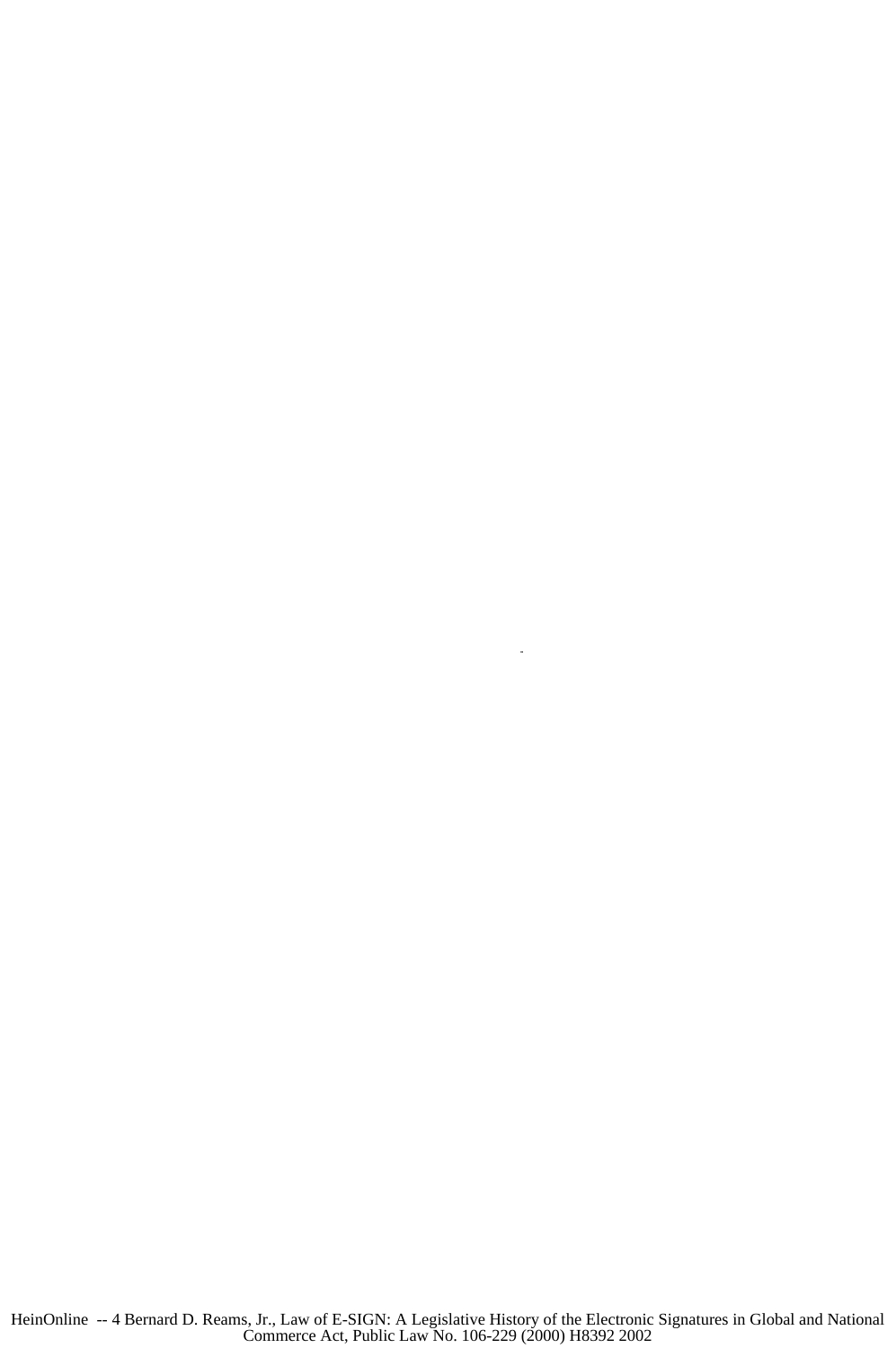HeinOnline -- 4 Bernard D. Reams, Jr., Law of E-SIGN: A Legislative History of the Electronic Signatures in Global and National Commerce Act, Public Law No. 106-229 (2000) H8392 2002